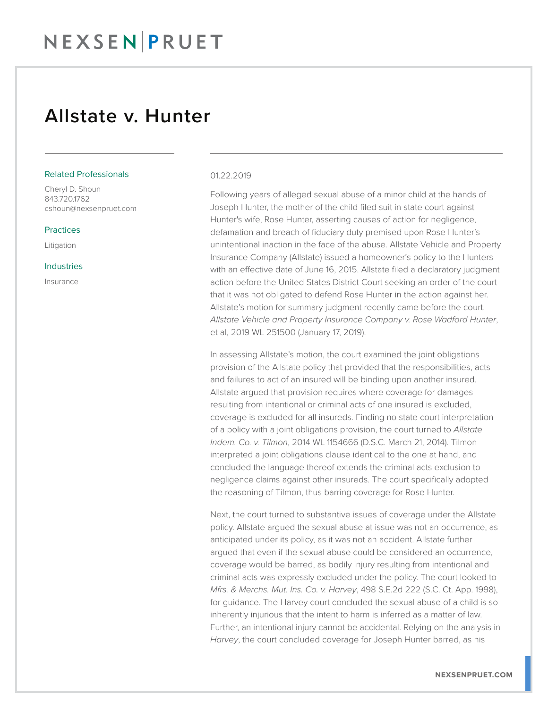## NEXSEN PRUET

### Allstate v. Hunter

#### Related Professionals

Cheryl D. Shoun 843.720.1762 cshoun@nexsenpruet.com

#### **Practices**

Litigation

#### Industries

Insurance

#### 01.22.2019

Following years of alleged sexual abuse of a minor child at the hands of Joseph Hunter, the mother of the child filed suit in state court against Hunter's wife, Rose Hunter, asserting causes of action for negligence, defamation and breach of fiduciary duty premised upon Rose Hunter's unintentional inaction in the face of the abuse. Allstate Vehicle and Property Insurance Company (Allstate) issued a homeowner's policy to the Hunters with an effective date of June 16, 2015. Allstate filed a declaratory judgment action before the United States District Court seeking an order of the court that it was not obligated to defend Rose Hunter in the action against her. Allstate's motion for summary judgment recently came before the court. *Allstate Vehicle and Property Insurance Company v. Rose Wadford Hunter*, et al, 2019 WL 251500 (January 17, 2019).

In assessing Allstate's motion, the court examined the joint obligations provision of the Allstate policy that provided that the responsibilities, acts and failures to act of an insured will be binding upon another insured. Allstate argued that provision requires where coverage for damages resulting from intentional or criminal acts of one insured is excluded, coverage is excluded for all insureds. Finding no state court interpretation of a policy with a joint obligations provision, the court turned to *Allstate Indem. Co. v. Tilmon*, 2014 WL 1154666 (D.S.C. March 21, 2014). Tilmon interpreted a joint obligations clause identical to the one at hand, and concluded the language thereof extends the criminal acts exclusion to negligence claims against other insureds. The court specifically adopted the reasoning of Tilmon, thus barring coverage for Rose Hunter.

Next, the court turned to substantive issues of coverage under the Allstate policy. Allstate argued the sexual abuse at issue was not an occurrence, as anticipated under its policy, as it was not an accident. Allstate further argued that even if the sexual abuse could be considered an occurrence, coverage would be barred, as bodily injury resulting from intentional and criminal acts was expressly excluded under the policy. The court looked to *Mfrs. & Merchs. Mut. Ins. Co. v. Harvey*, 498 S.E.2d 222 (S.C. Ct. App. 1998), for guidance. The Harvey court concluded the sexual abuse of a child is so inherently injurious that the intent to harm is inferred as a matter of law. Further, an intentional injury cannot be accidental. Relying on the analysis in *Harvey*, the court concluded coverage for Joseph Hunter barred, as his